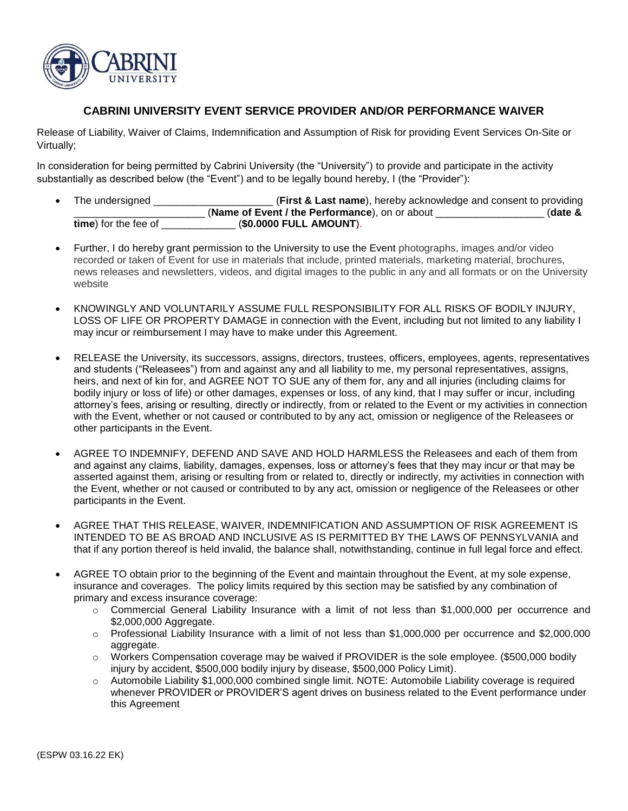

## **CABRINI UNIVERSITY EVENT SERVICE PROVIDER AND/OR PERFORMANCE WAIVER**

Release of Liability, Waiver of Claims, Indemnification and Assumption of Risk for providing Event Services On-Site or Virtually;

In consideration for being permitted by Cabrini University (the "University") to provide and participate in the activity substantially as described below (the "Event") and to be legally bound hereby, I (the "Provider"):

- The undersigned \_\_\_\_\_\_\_\_\_\_\_\_\_\_\_\_\_\_\_\_\_ (**First & Last name**), hereby acknowledge and consent to providing \_\_\_\_\_\_\_\_\_\_\_\_\_\_\_\_\_\_\_\_\_\_\_ (**Name of Event / the Performance**), on or about \_\_\_\_\_\_\_\_\_\_\_\_\_\_\_\_\_\_\_ (**date & time**) for the fee of \_\_\_\_\_\_\_\_\_\_\_\_\_ (**\$0.0000 FULL AMOUNT**).
- Further, I do hereby grant permission to the University to use the Event photographs, images and/or video recorded or taken of Event for use in materials that include, printed materials, marketing material, brochures, news releases and newsletters, videos, and digital images to the public in any and all formats or on the University website
- KNOWINGLY AND VOLUNTARILY ASSUME FULL RESPONSIBILITY FOR ALL RISKS OF BODILY INJURY, LOSS OF LIFE OR PROPERTY DAMAGE in connection with the Event, including but not limited to any liability I may incur or reimbursement I may have to make under this Agreement.
- RELEASE the University, its successors, assigns, directors, trustees, officers, employees, agents, representatives and students ("Releasees") from and against any and all liability to me, my personal representatives, assigns, heirs, and next of kin for, and AGREE NOT TO SUE any of them for, any and all injuries (including claims for bodily injury or loss of life) or other damages, expenses or loss, of any kind, that I may suffer or incur, including attorney's fees, arising or resulting, directly or indirectly, from or related to the Event or my activities in connection with the Event, whether or not caused or contributed to by any act, omission or negligence of the Releasees or other participants in the Event.
- AGREE TO INDEMNIFY, DEFEND AND SAVE AND HOLD HARMLESS the Releasees and each of them from and against any claims, liability, damages, expenses, loss or attorney's fees that they may incur or that may be asserted against them, arising or resulting from or related to, directly or indirectly, my activities in connection with the Event, whether or not caused or contributed to by any act, omission or negligence of the Releasees or other participants in the Event.
- AGREE THAT THIS RELEASE, WAIVER, INDEMNIFICATION AND ASSUMPTION OF RISK AGREEMENT IS INTENDED TO BE AS BROAD AND INCLUSIVE AS IS PERMITTED BY THE LAWS OF PENNSYLVANIA and that if any portion thereof is held invalid, the balance shall, notwithstanding, continue in full legal force and effect.
- AGREE TO obtain prior to the beginning of the Event and maintain throughout the Event, at my sole expense, insurance and coverages. The policy limits required by this section may be satisfied by any combination of primary and excess insurance coverage:
	- o Commercial General Liability Insurance with a limit of not less than \$1,000,000 per occurrence and \$2,000,000 Aggregate.
	- $\circ$  Professional Liability Insurance with a limit of not less than \$1,000,000 per occurrence and \$2,000,000 aggregate.
	- o Workers Compensation coverage may be waived if PROVIDER is the sole employee. (\$500,000 bodily injury by accident, \$500,000 bodily injury by disease, \$500,000 Policy Limit).
	- o Automobile Liability \$1,000,000 combined single limit. NOTE: Automobile Liability coverage is required whenever PROVIDER or PROVIDER'S agent drives on business related to the Event performance under this Agreement